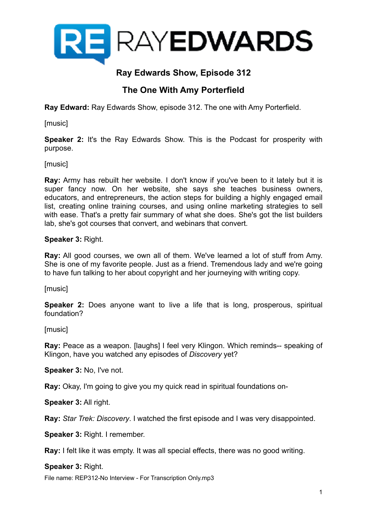

### **Ray Edwards Show, Episode 312**

### **The One With Amy Porterfield**

**Ray Edward:** Ray Edwards Show, episode 312. The one with Amy Porterfield.

[music]

**Speaker 2:** It's the Ray Edwards Show. This is the Podcast for prosperity with purpose.

[music]

**Ray:** Army has rebuilt her website. I don't know if you've been to it lately but it is super fancy now. On her website, she says she teaches business owners, educators, and entrepreneurs, the action steps for building a highly engaged email list, creating online training courses, and using online marketing strategies to sell with ease. That's a pretty fair summary of what she does. She's got the list builders lab, she's got courses that convert, and webinars that convert.

**Speaker 3:** Right.

**Ray:** All good courses, we own all of them. We've learned a lot of stuff from Amy. She is one of my favorite people. Just as a friend. Tremendous lady and we're going to have fun talking to her about copyright and her journeying with writing copy.

[music]

**Speaker 2:** Does anyone want to live a life that is long, prosperous, spiritual foundation?

[music]

**Ray:** Peace as a weapon. [laughs] I feel very Klingon. Which reminds-- speaking of Klingon, have you watched any episodes of *Discovery* yet?

**Speaker 3:** No, I've not.

**Ray:** Okay, I'm going to give you my quick read in spiritual foundations on-

**Speaker 3:** All right.

**Ray:** *Star Trek: Discovery*. I watched the first episode and I was very disappointed.

**Speaker 3:** Right. I remember.

**Ray:** I felt like it was empty. It was all special effects, there was no good writing.

**Speaker 3:** Right.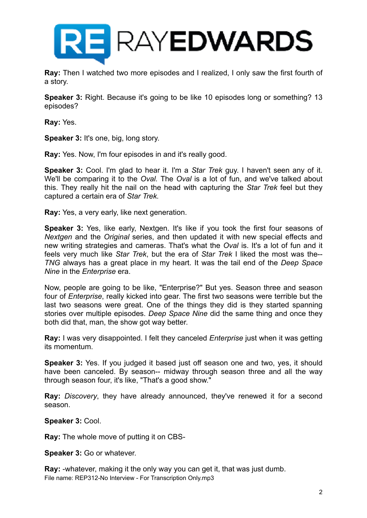

**Ray:** Then I watched two more episodes and I realized, I only saw the first fourth of a story.

**Speaker 3:** Right. Because it's going to be like 10 episodes long or something? 13 episodes?

**Ray:** Yes.

**Speaker 3:** It's one, big, long story.

**Ray:** Yes. Now, I'm four episodes in and it's really good.

**Speaker 3:** Cool. I'm glad to hear it. I'm a *Star Trek* guy. I haven't seen any of it. We'll be comparing it to the *Oval.* The *Oval* is a lot of fun, and we've talked about this. They really hit the nail on the head with capturing the *Star Trek* feel but they captured a certain era of *Star Trek.*

**Ray:** Yes, a very early, like next generation.

**Speaker 3:** Yes, like early, Nextgen. It's like if you took the first four seasons of *Nextgen* and the *Original* series, and then updated it with new special effects and new writing strategies and cameras. That's what the *Oval* is. It's a lot of fun and it feels very much like *Star Trek*, but the era of *Star Trek* I liked the most was the-- *TNG* always has a great place in my heart. It was the tail end of the *Deep Space Nine* in the *Enterprise* era.

Now, people are going to be like, "Enterprise?" But yes. Season three and season four of *Enterprise*, really kicked into gear. The first two seasons were terrible but the last two seasons were great. One of the things they did is they started spanning stories over multiple episodes. *Deep Space Nine* did the same thing and once they both did that, man, the show got way better.

**Ray:** I was very disappointed. I felt they canceled *Enterprise* just when it was getting its momentum.

**Speaker 3:** Yes. If you judged it based just off season one and two, yes, it should have been canceled. By season-- midway through season three and all the way through season four, it's like, "That's a good show."

**Ray:** *Discovery*, they have already announced, they've renewed it for a second season.

**Speaker 3:** Cool.

**Ray:** The whole move of putting it on CBS-

**Speaker 3:** Go or whatever.

**Ray:** -whatever, making it the only way you can get it, that was just dumb. File name: REP312-No Interview - For Transcription Only.mp3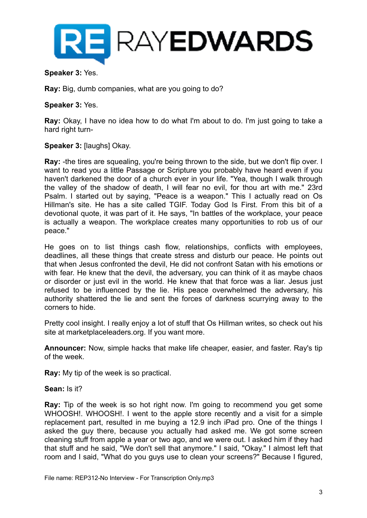

#### **Speaker 3:** Yes.

**Ray:** Big, dumb companies, what are you going to do?

#### **Speaker 3:** Yes.

**Ray:** Okay, I have no idea how to do what I'm about to do. I'm just going to take a hard right turn-

#### **Speaker 3:** [laughs] Okay.

**Ray:** -the tires are squealing, you're being thrown to the side, but we don't flip over. I want to read you a little Passage or Scripture you probably have heard even if you haven't darkened the door of a church ever in your life. "Yea, though I walk through the valley of the shadow of death, I will fear no evil, for thou art with me." 23rd Psalm. I started out by saying, "Peace is a weapon." This I actually read on Os Hillman's site. He has a site called TGIF. Today God Is First. From this bit of a devotional quote, it was part of it. He says, "In battles of the workplace, your peace is actually a weapon. The workplace creates many opportunities to rob us of our peace."

He goes on to list things cash flow, relationships, conflicts with employees, deadlines, all these things that create stress and disturb our peace. He points out that when Jesus confronted the devil, He did not confront Satan with his emotions or with fear. He knew that the devil, the adversary, you can think of it as maybe chaos or disorder or just evil in the world. He knew that that force was a liar. Jesus just refused to be influenced by the lie. His peace overwhelmed the adversary, his authority shattered the lie and sent the forces of darkness scurrying away to the corners to hide.

Pretty cool insight. I really enjoy a lot of stuff that Os Hillman writes, so check out his site at marketplaceleaders.org. If you want more.

**Announcer:** Now, simple hacks that make life cheaper, easier, and faster. Ray's tip of the week.

**Ray:** My tip of the week is so practical.

#### **Sean:** Is it?

**Ray:** Tip of the week is so hot right now. I'm going to recommend you get some WHOOSH!. WHOOSH!. I went to the apple store recently and a visit for a simple replacement part, resulted in me buying a 12.9 inch iPad pro. One of the things I asked the guy there, because you actually had asked me. We got some screen cleaning stuff from apple a year or two ago, and we were out. I asked him if they had that stuff and he said, "We don't sell that anymore." I said, "Okay." I almost left that room and I said, "What do you guys use to clean your screens?" Because I figured,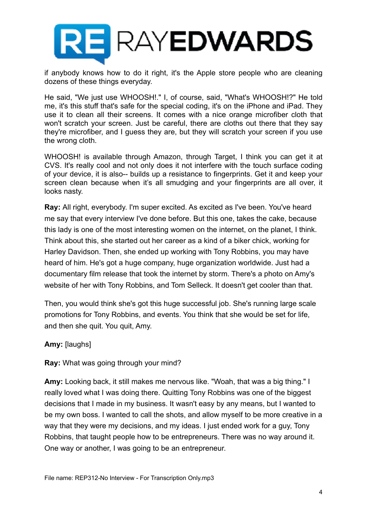

if anybody knows how to do it right, it's the Apple store people who are cleaning dozens of these things everyday.

He said, "We just use WHOOSH!." I, of course, said, "What's WHOOSH!?" He told me, it's this stuff that's safe for the special coding, it's on the iPhone and iPad. They use it to clean all their screens. It comes with a nice orange microfiber cloth that won't scratch your screen. Just be careful, there are cloths out there that they say they're microfiber, and I guess they are, but they will scratch your screen if you use the wrong cloth.

WHOOSH! is available through Amazon, through Target, I think you can get it at CVS. It's really cool and not only does it not interfere with the touch surface coding of your device, it is also-- builds up a resistance to fingerprints. Get it and keep your screen clean because when it's all smudging and your fingerprints are all over, it looks nasty.

**Ray:** All right, everybody. I'm super excited. As excited as I've been. You've heard me say that every interview I've done before. But this one, takes the cake, because this lady is one of the most interesting women on the internet, on the planet, I think. Think about this, she started out her career as a kind of a biker chick, working for Harley Davidson. Then, she ended up working with Tony Robbins, you may have heard of him. He's got a huge company, huge organization worldwide. Just had a documentary film release that took the internet by storm. There's a photo on Amy's website of her with Tony Robbins, and Tom Selleck. It doesn't get cooler than that.

Then, you would think she's got this huge successful job. She's running large scale promotions for Tony Robbins, and events. You think that she would be set for life, and then she quit. You quit, Amy.

### **Amy:** [laughs]

### **Ray:** What was going through your mind?

**Amy:** Looking back, it still makes me nervous like. "Woah, that was a big thing." I really loved what I was doing there. Quitting Tony Robbins was one of the biggest decisions that I made in my business. It wasn't easy by any means, but I wanted to be my own boss. I wanted to call the shots, and allow myself to be more creative in a way that they were my decisions, and my ideas. I just ended work for a guy, Tony Robbins, that taught people how to be entrepreneurs. There was no way around it. One way or another, I was going to be an entrepreneur.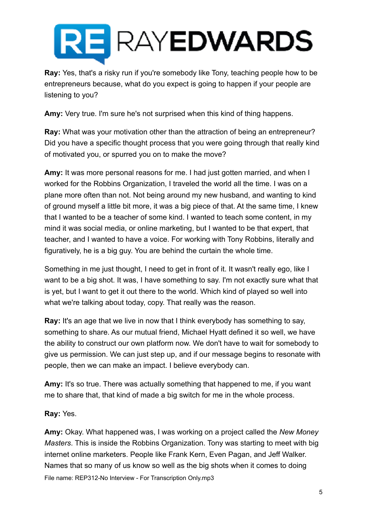

**Ray:** Yes, that's a risky run if you're somebody like Tony, teaching people how to be entrepreneurs because, what do you expect is going to happen if your people are listening to you?

**Amy:** Very true. I'm sure he's not surprised when this kind of thing happens.

**Ray:** What was your motivation other than the attraction of being an entrepreneur? Did you have a specific thought process that you were going through that really kind of motivated you, or spurred you on to make the move?

**Amy:** It was more personal reasons for me. I had just gotten married, and when I worked for the Robbins Organization, I traveled the world all the time. I was on a plane more often than not. Not being around my new husband, and wanting to kind of ground myself a little bit more, it was a big piece of that. At the same time, I knew that I wanted to be a teacher of some kind. I wanted to teach some content, in my mind it was social media, or online marketing, but I wanted to be that expert, that teacher, and I wanted to have a voice. For working with Tony Robbins, literally and figuratively, he is a big guy. You are behind the curtain the whole time.

Something in me just thought, I need to get in front of it. It wasn't really ego, like I want to be a big shot. It was, I have something to say. I'm not exactly sure what that is yet, but I want to get it out there to the world. Which kind of played so well into what we're talking about today, copy. That really was the reason.

**Ray:** It's an age that we live in now that I think everybody has something to say, something to share. As our mutual friend, Michael Hyatt defined it so well, we have the ability to construct our own platform now. We don't have to wait for somebody to give us permission. We can just step up, and if our message begins to resonate with people, then we can make an impact. I believe everybody can.

**Amy:** It's so true. There was actually something that happened to me, if you want me to share that, that kind of made a big switch for me in the whole process.

**Ray:** Yes.

**Amy:** Okay. What happened was, I was working on a project called the *New Money Masters*. This is inside the Robbins Organization. Tony was starting to meet with big internet online marketers. People like Frank Kern, Even Pagan, and Jeff Walker. Names that so many of us know so well as the big shots when it comes to doing File name: REP312-No Interview - For Transcription Only.mp3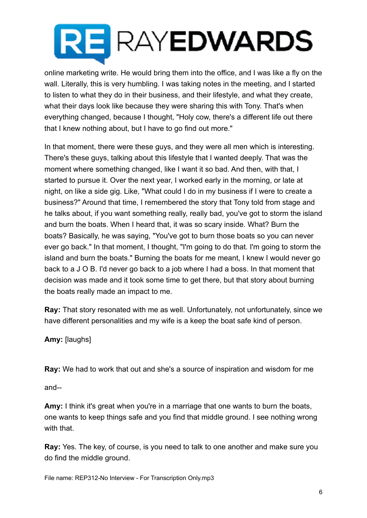online marketing write. He would bring them into the office, and I was like a fly on the wall. Literally, this is very humbling. I was taking notes in the meeting, and I started to listen to what they do in their business, and their lifestyle, and what they create, what their days look like because they were sharing this with Tony. That's when everything changed, because I thought, "Holy cow, there's a different life out there that I knew nothing about, but I have to go find out more."

In that moment, there were these guys, and they were all men which is interesting. There's these guys, talking about this lifestyle that I wanted deeply. That was the moment where something changed, like I want it so bad. And then, with that, I started to pursue it. Over the next year, I worked early in the morning, or late at night, on like a side gig. Like, "What could I do in my business if I were to create a business?" Around that time, I remembered the story that Tony told from stage and he talks about, if you want something really, really bad, you've got to storm the island and burn the boats. When I heard that, it was so scary inside. What? Burn the boats? Basically, he was saying, "You've got to burn those boats so you can never ever go back." In that moment, I thought, "I'm going to do that. I'm going to storm the island and burn the boats." Burning the boats for me meant, I knew I would never go back to a J O B. I'd never go back to a job where I had a boss. In that moment that decision was made and it took some time to get there, but that story about burning the boats really made an impact to me.

**Ray:** That story resonated with me as well. Unfortunately, not unfortunately, since we have different personalities and my wife is a keep the boat safe kind of person.

**Amy:** [laughs]

**Ray:** We had to work that out and she's a source of inspiration and wisdom for me

and--

**Amy:** I think it's great when you're in a marriage that one wants to burn the boats, one wants to keep things safe and you find that middle ground. I see nothing wrong with that.

**Ray:** Yes. The key, of course, is you need to talk to one another and make sure you do find the middle ground.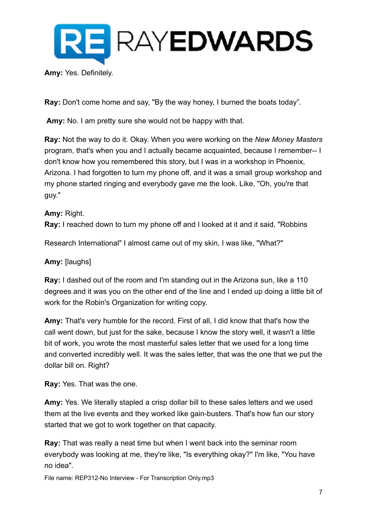

**Amy:** Yes. Definitely.

**Ray:** Don't come home and say, "By the way honey, I burned the boats today".

**Amy:** No. I am pretty sure she would not be happy with that.

**Ray:** Not the way to do it. Okay. When you were working on the *New Money Masters*  program, that's when you and I actually became acquainted, because I remember-- I don't know how you remembered this story, but I was in a workshop in Phoenix, Arizona. I had forgotten to turn my phone off, and it was a small group workshop and my phone started ringing and everybody gave me the look. Like, "Oh, you're that guy."

**Amy:** Right. **Ray:** I reached down to turn my phone off and I looked at it and it said, "Robbins

Research International" I almost came out of my skin, I was like, "What?"

### **Amy:** [laughs]

**Ray:** I dashed out of the room and I'm standing out in the Arizona sun, like a 110 degrees and it was you on the other end of the line and I ended up doing a little bit of work for the Robin's Organization for writing copy.

**Amy:** That's very humble for the record. First of all, I did know that that's how the call went down, but just for the sake, because I know the story well, it wasn't a little bit of work, you wrote the most masterful sales letter that we used for a long time and converted incredibly well. It was the sales letter, that was the one that we put the dollar bill on. Right?

**Ray:** Yes. That was the one.

**Amy:** Yes. We literally stapled a crisp dollar bill to these sales letters and we used them at the live events and they worked like gain-busters. That's how fun our story started that we got to work together on that capacity.

**Ray:** That was really a neat time but when I went back into the seminar room everybody was looking at me, they're like, "Is everything okay?" I'm like, "You have no idea".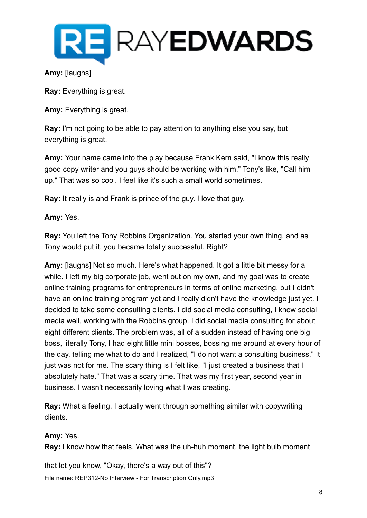

### **Amy:** [laughs]

**Ray:** Everything is great.

**Amy:** Everything is great.

**Ray:** I'm not going to be able to pay attention to anything else you say, but everything is great.

**Amy:** Your name came into the play because Frank Kern said, "I know this really good copy writer and you guys should be working with him." Tony's like, "Call him up." That was so cool. I feel like it's such a small world sometimes.

**Ray:** It really is and Frank is prince of the guy. I love that guy.

### **Amy:** Yes.

**Ray:** You left the Tony Robbins Organization. You started your own thing, and as Tony would put it, you became totally successful. Right?

**Amy:** [laughs] Not so much. Here's what happened. It got a little bit messy for a while. I left my big corporate job, went out on my own, and my goal was to create online training programs for entrepreneurs in terms of online marketing, but I didn't have an online training program yet and I really didn't have the knowledge just yet. I decided to take some consulting clients. I did social media consulting, I knew social media well, working with the Robbins group. I did social media consulting for about eight different clients. The problem was, all of a sudden instead of having one big boss, literally Tony, I had eight little mini bosses, bossing me around at every hour of the day, telling me what to do and I realized, "I do not want a consulting business." It just was not for me. The scary thing is I felt like, "I just created a business that I absolutely hate." That was a scary time. That was my first year, second year in business. I wasn't necessarily loving what I was creating.

**Ray:** What a feeling. I actually went through something similar with copywriting clients.

### **Amy:** Yes.

**Ray:** I know how that feels. What was the uh-huh moment, the light bulb moment

that let you know, "Okay, there's a way out of this"? File name: REP312-No Interview - For Transcription Only.mp3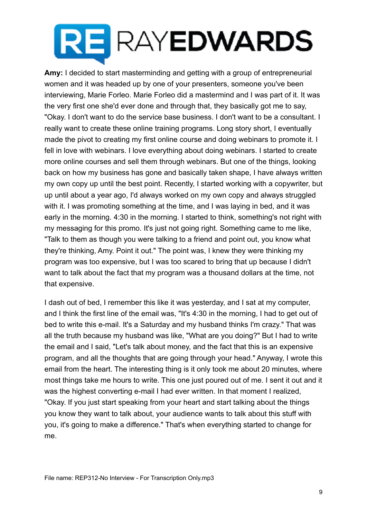**Amy:** I decided to start masterminding and getting with a group of entrepreneurial women and it was headed up by one of your presenters, someone you've been interviewing, Marie Forleo. Marie Forleo did a mastermind and I was part of it. It was the very first one she'd ever done and through that, they basically got me to say, "Okay. I don't want to do the service base business. I don't want to be a consultant. I really want to create these online training programs. Long story short, I eventually made the pivot to creating my first online course and doing webinars to promote it. I fell in love with webinars. I love everything about doing webinars. I started to create more online courses and sell them through webinars. But one of the things, looking back on how my business has gone and basically taken shape, I have always written my own copy up until the best point. Recently, I started working with a copywriter, but up until about a year ago, I'd always worked on my own copy and always struggled with it. I was promoting something at the time, and I was laying in bed, and it was early in the morning. 4:30 in the morning. I started to think, something's not right with my messaging for this promo. It's just not going right. Something came to me like, "Talk to them as though you were talking to a friend and point out, you know what they're thinking, Amy. Point it out." The point was, I knew they were thinking my program was too expensive, but I was too scared to bring that up because I didn't want to talk about the fact that my program was a thousand dollars at the time, not that expensive.

I dash out of bed, I remember this like it was yesterday, and I sat at my computer, and I think the first line of the email was, "It's 4:30 in the morning, I had to get out of bed to write this e-mail. It's a Saturday and my husband thinks I'm crazy." That was all the truth because my husband was like, "What are you doing?" But I had to write the email and I said, "Let's talk about money, and the fact that this is an expensive program, and all the thoughts that are going through your head." Anyway, I wrote this email from the heart. The interesting thing is it only took me about 20 minutes, where most things take me hours to write. This one just poured out of me. I sent it out and it was the highest converting e-mail I had ever written. In that moment I realized, "Okay. If you just start speaking from your heart and start talking about the things you know they want to talk about, your audience wants to talk about this stuff with you, it's going to make a difference." That's when everything started to change for me.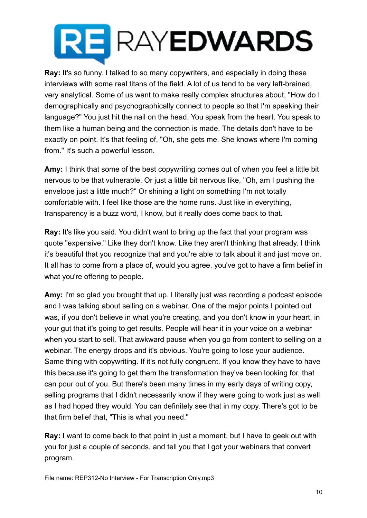**Ray:** It's so funny. I talked to so many copywriters, and especially in doing these interviews with some real titans of the field. A lot of us tend to be very left-brained, very analytical. Some of us want to make really complex structures about, "How do I demographically and psychographically connect to people so that I'm speaking their language?" You just hit the nail on the head. You speak from the heart. You speak to them like a human being and the connection is made. The details don't have to be exactly on point. It's that feeling of, "Oh, she gets me. She knows where I'm coming from." It's such a powerful lesson.

**Amy:** I think that some of the best copywriting comes out of when you feel a little bit nervous to be that vulnerable. Or just a little bit nervous like, "Oh, am I pushing the envelope just a little much?" Or shining a light on something I'm not totally comfortable with. I feel like those are the home runs. Just like in everything, transparency is a buzz word, I know, but it really does come back to that.

**Ray:** It's like you said. You didn't want to bring up the fact that your program was quote "expensive." Like they don't know. Like they aren't thinking that already. I think it's beautiful that you recognize that and you're able to talk about it and just move on. It all has to come from a place of, would you agree, you've got to have a firm belief in what you're offering to people.

**Amy:** I'm so glad you brought that up. I literally just was recording a podcast episode and I was talking about selling on a webinar. One of the major points I pointed out was, if you don't believe in what you're creating, and you don't know in your heart, in your gut that it's going to get results. People will hear it in your voice on a webinar when you start to sell. That awkward pause when you go from content to selling on a webinar. The energy drops and it's obvious. You're going to lose your audience. Same thing with copywriting. If it's not fully congruent. If you know they have to have this because it's going to get them the transformation they've been looking for, that can pour out of you. But there's been many times in my early days of writing copy, selling programs that I didn't necessarily know if they were going to work just as well as I had hoped they would. You can definitely see that in my copy. There's got to be that firm belief that, "This is what you need."

**Ray:** I want to come back to that point in just a moment, but I have to geek out with you for just a couple of seconds, and tell you that I got your webinars that convert program.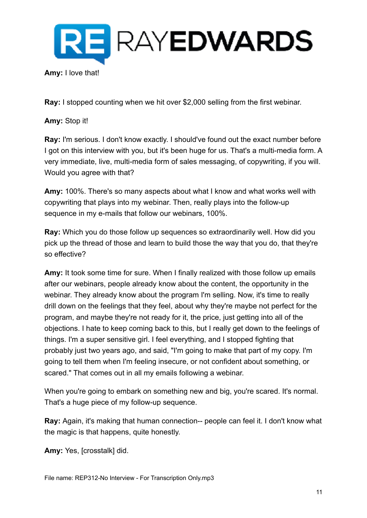

**Ray:** I stopped counting when we hit over \$2,000 selling from the first webinar.

**Amy:** Stop it!

**Ray:** I'm serious. I don't know exactly. I should've found out the exact number before I got on this interview with you, but it's been huge for us. That's a multi-media form. A very immediate, live, multi-media form of sales messaging, of copywriting, if you will. Would you agree with that?

**Amy:** 100%. There's so many aspects about what I know and what works well with copywriting that plays into my webinar. Then, really plays into the follow-up sequence in my e-mails that follow our webinars, 100%.

**Ray:** Which you do those follow up sequences so extraordinarily well. How did you pick up the thread of those and learn to build those the way that you do, that they're so effective?

**Amy:** It took some time for sure. When I finally realized with those follow up emails after our webinars, people already know about the content, the opportunity in the webinar. They already know about the program I'm selling. Now, it's time to really drill down on the feelings that they feel, about why they're maybe not perfect for the program, and maybe they're not ready for it, the price, just getting into all of the objections. I hate to keep coming back to this, but I really get down to the feelings of things. I'm a super sensitive girl. I feel everything, and I stopped fighting that probably just two years ago, and said, "I'm going to make that part of my copy. I'm going to tell them when I'm feeling insecure, or not confident about something, or scared." That comes out in all my emails following a webinar.

When you're going to embark on something new and big, you're scared. It's normal. That's a huge piece of my follow-up sequence.

**Ray:** Again, it's making that human connection-- people can feel it. I don't know what the magic is that happens, quite honestly.

**Amy:** Yes, [crosstalk] did.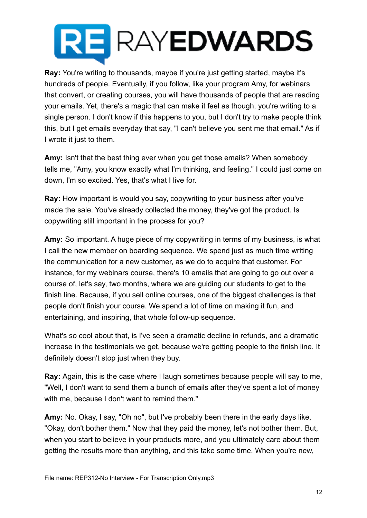**Ray:** You're writing to thousands, maybe if you're just getting started, maybe it's hundreds of people. Eventually, if you follow, like your program Amy, for webinars that convert, or creating courses, you will have thousands of people that are reading your emails. Yet, there's a magic that can make it feel as though, you're writing to a single person. I don't know if this happens to you, but I don't try to make people think this, but I get emails everyday that say, "I can't believe you sent me that email." As if I wrote it just to them.

**Amy:** Isn't that the best thing ever when you get those emails? When somebody tells me, "Amy, you know exactly what I'm thinking, and feeling." I could just come on down, I'm so excited. Yes, that's what I live for.

**Ray:** How important is would you say, copywriting to your business after you've made the sale. You've already collected the money, they've got the product. Is copywriting still important in the process for you?

**Amy:** So important. A huge piece of my copywriting in terms of my business, is what I call the new member on boarding sequence. We spend just as much time writing the communication for a new customer, as we do to acquire that customer. For instance, for my webinars course, there's 10 emails that are going to go out over a course of, let's say, two months, where we are guiding our students to get to the finish line. Because, if you sell online courses, one of the biggest challenges is that people don't finish your course. We spend a lot of time on making it fun, and entertaining, and inspiring, that whole follow-up sequence.

What's so cool about that, is I've seen a dramatic decline in refunds, and a dramatic increase in the testimonials we get, because we're getting people to the finish line. It definitely doesn't stop just when they buy.

**Ray:** Again, this is the case where I laugh sometimes because people will say to me, "Well, I don't want to send them a bunch of emails after they've spent a lot of money with me, because I don't want to remind them."

**Amy:** No. Okay, I say, "Oh no", but I've probably been there in the early days like, "Okay, don't bother them." Now that they paid the money, let's not bother them. But, when you start to believe in your products more, and you ultimately care about them getting the results more than anything, and this take some time. When you're new,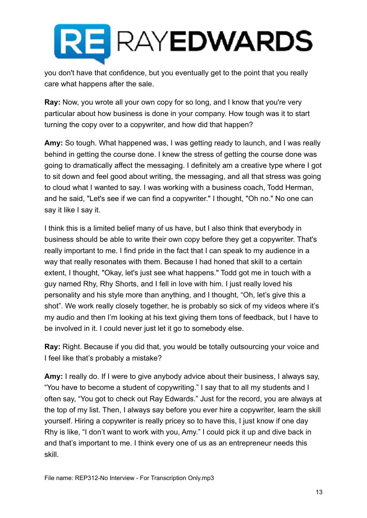you don't have that confidence, but you eventually get to the point that you really care what happens after the sale.

**Ray:** Now, you wrote all your own copy for so long, and I know that you're very particular about how business is done in your company. How tough was it to start turning the copy over to a copywriter, and how did that happen?

**Amy:** So tough. What happened was, I was getting ready to launch, and I was really behind in getting the course done. I knew the stress of getting the course done was going to dramatically affect the messaging. I definitely am a creative type where I got to sit down and feel good about writing, the messaging, and all that stress was going to cloud what I wanted to say. I was working with a business coach, Todd Herman, and he said, "Let's see if we can find a copywriter." I thought, "Oh no." No one can say it like I say it.

I think this is a limited belief many of us have, but I also think that everybody in business should be able to write their own copy before they get a copywriter. That's really important to me. I find pride in the fact that I can speak to my audience in a way that really resonates with them. Because I had honed that skill to a certain extent, I thought, "Okay, let's just see what happens." Todd got me in touch with a guy named Rhy, Rhy Shorts, and I fell in love with him. I just really loved his personality and his style more than anything, and I thought, "Oh, let's give this a shot". We work really closely together, he is probably so sick of my videos where it's my audio and then I'm looking at his text giving them tons of feedback, but I have to be involved in it. I could never just let it go to somebody else.

**Ray:** Right. Because if you did that, you would be totally outsourcing your voice and I feel like that's probably a mistake?

**Amy:** I really do. If I were to give anybody advice about their business, I always say, "You have to become a student of copywriting." I say that to all my students and I often say, "You got to check out Ray Edwards." Just for the record, you are always at the top of my list. Then, I always say before you ever hire a copywriter, learn the skill yourself. Hiring a copywriter is really pricey so to have this, I just know if one day Rhy is like, "I don't want to work with you, Amy." I could pick it up and dive back in and that's important to me. I think every one of us as an entrepreneur needs this skill.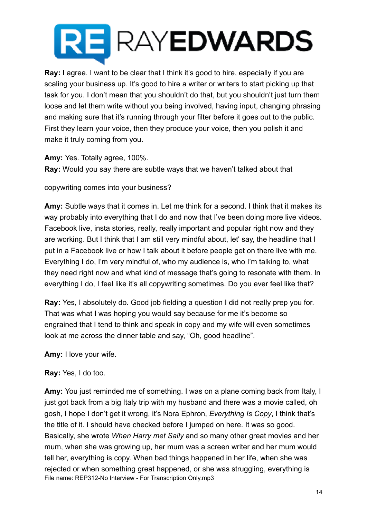**Ray:** I agree. I want to be clear that I think it's good to hire, especially if you are scaling your business up. It's good to hire a writer or writers to start picking up that task for you. I don't mean that you shouldn't do that, but you shouldn't just turn them loose and let them write without you being involved, having input, changing phrasing and making sure that it's running through your filter before it goes out to the public. First they learn your voice, then they produce your voice, then you polish it and make it truly coming from you.

**Amy:** Yes. Totally agree, 100%.

**Ray:** Would you say there are subtle ways that we haven't talked about that

copywriting comes into your business?

**Amy:** Subtle ways that it comes in. Let me think for a second. I think that it makes its way probably into everything that I do and now that I've been doing more live videos. Facebook live, insta stories, really, really important and popular right now and they are working. But I think that I am still very mindful about, let' say, the headline that I put in a Facebook live or how I talk about it before people get on there live with me. Everything I do, I'm very mindful of, who my audience is, who I'm talking to, what they need right now and what kind of message that's going to resonate with them. In everything I do, I feel like it's all copywriting sometimes. Do you ever feel like that?

**Ray:** Yes, I absolutely do. Good job fielding a question I did not really prep you for. That was what I was hoping you would say because for me it's become so engrained that I tend to think and speak in copy and my wife will even sometimes look at me across the dinner table and say, "Oh, good headline".

**Amy:** I love your wife.

**Ray:** Yes, I do too.

**Amy:** You just reminded me of something. I was on a plane coming back from Italy, I just got back from a big Italy trip with my husband and there was a movie called, oh gosh, I hope I don't get it wrong, it's Nora Ephron, *Everything Is Copy*, I think that's the title of it. I should have checked before I jumped on here. It was so good. Basically, she wrote *When Harry met Sally* and so many other great movies and her mum, when she was growing up, her mum was a screen writer and her mum would tell her, everything is copy. When bad things happened in her life, when she was rejected or when something great happened, or she was struggling, everything is File name: REP312-No Interview - For Transcription Only.mp3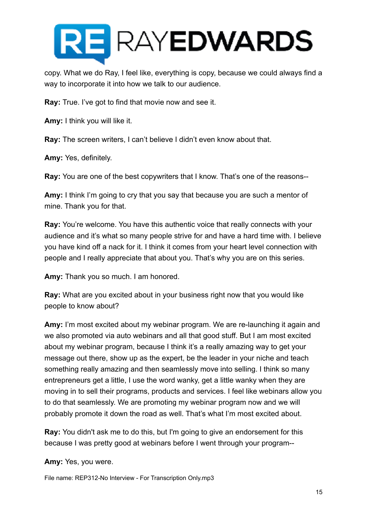

copy. What we do Ray, I feel like, everything is copy, because we could always find a way to incorporate it into how we talk to our audience.

**Ray:** True. I've got to find that movie now and see it.

**Amy:** I think you will like it.

**Ray:** The screen writers, I can't believe I didn't even know about that.

**Amy:** Yes, definitely.

**Ray:** You are one of the best copywriters that I know. That's one of the reasons--

**Amy:** I think I'm going to cry that you say that because you are such a mentor of mine. Thank you for that.

**Ray:** You're welcome. You have this authentic voice that really connects with your audience and it's what so many people strive for and have a hard time with. I believe you have kind off a nack for it. I think it comes from your heart level connection with people and I really appreciate that about you. That's why you are on this series.

**Amy:** Thank you so much. I am honored.

**Ray:** What are you excited about in your business right now that you would like people to know about?

**Amy:** I'm most excited about my webinar program. We are re-launching it again and we also promoted via auto webinars and all that good stuff. But I am most excited about my webinar program, because I think it's a really amazing way to get your message out there, show up as the expert, be the leader in your niche and teach something really amazing and then seamlessly move into selling. I think so many entrepreneurs get a little, I use the word wanky, get a little wanky when they are moving in to sell their programs, products and services. I feel like webinars allow you to do that seamlessly. We are promoting my webinar program now and we will probably promote it down the road as well. That's what I'm most excited about.

**Ray:** You didn't ask me to do this, but I'm going to give an endorsement for this because I was pretty good at webinars before I went through your program--

**Amy:** Yes, you were.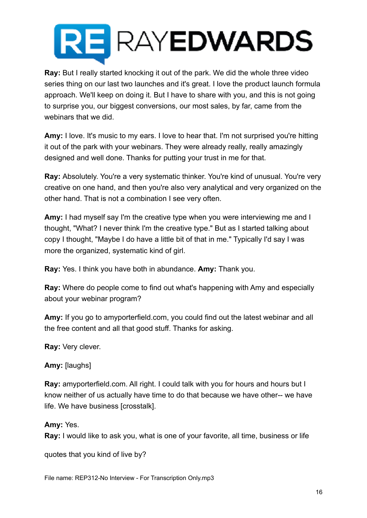**Ray:** But I really started knocking it out of the park. We did the whole three video series thing on our last two launches and it's great. I love the product launch formula approach. We'll keep on doing it. But I have to share with you, and this is not going to surprise you, our biggest conversions, our most sales, by far, came from the webinars that we did.

**Amy:** I love. It's music to my ears. I love to hear that. I'm not surprised you're hitting it out of the park with your webinars. They were already really, really amazingly designed and well done. Thanks for putting your trust in me for that.

**Ray:** Absolutely. You're a very systematic thinker. You're kind of unusual. You're very creative on one hand, and then you're also very analytical and very organized on the other hand. That is not a combination I see very often.

**Amy:** I had myself say I'm the creative type when you were interviewing me and I thought, "What? I never think I'm the creative type." But as I started talking about copy I thought, "Maybe I do have a little bit of that in me." Typically I'd say I was more the organized, systematic kind of girl.

**Ray:** Yes. I think you have both in abundance. **Amy:** Thank you.

**Ray:** Where do people come to find out what's happening with Amy and especially about your webinar program?

**Amy:** If you go to amyporterfield.com, you could find out the latest webinar and all the free content and all that good stuff. Thanks for asking.

**Ray:** Very clever.

**Amy:** [laughs]

**Ray:** amyporterfield.com. All right. I could talk with you for hours and hours but I know neither of us actually have time to do that because we have other-- we have life. We have business [crosstalk].

### **Amy:** Yes.

**Ray:** I would like to ask you, what is one of your favorite, all time, business or life

quotes that you kind of live by?